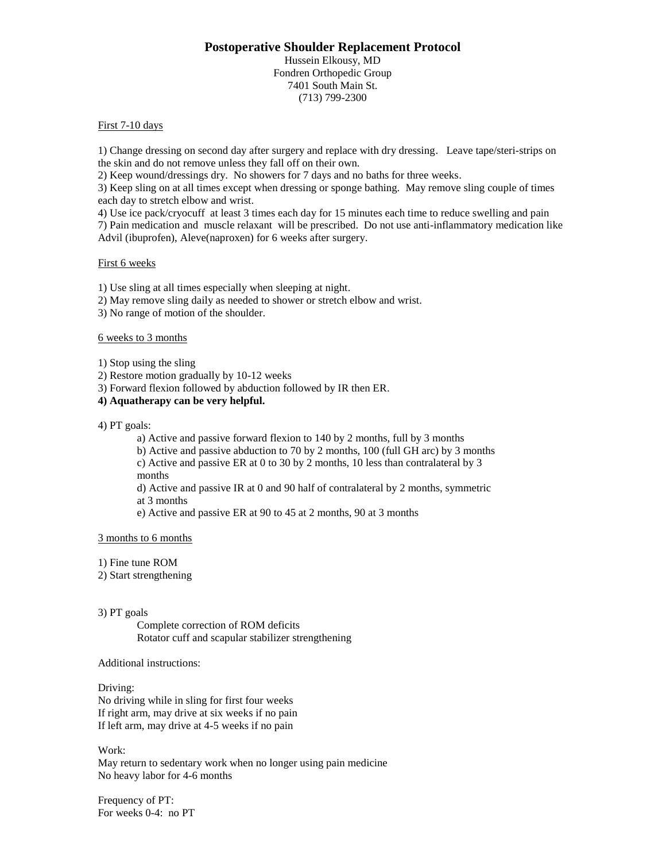## **Postoperative Shoulder Replacement Protocol**

Hussein Elkousy, MD Fondren Orthopedic Group 7401 South Main St. (713) 799-2300

## First 7-10 days

1) Change dressing on second day after surgery and replace with dry dressing. Leave tape/steri-strips on the skin and do not remove unless they fall off on their own.

2) Keep wound/dressings dry. No showers for 7 days and no baths for three weeks.

3) Keep sling on at all times except when dressing or sponge bathing. May remove sling couple of times each day to stretch elbow and wrist.

4) Use ice pack/cryocuff at least 3 times each day for 15 minutes each time to reduce swelling and pain 7) Pain medication and muscle relaxant will be prescribed. Do not use anti-inflammatory medication like Advil (ibuprofen), Aleve(naproxen) for 6 weeks after surgery.

## First 6 weeks

1) Use sling at all times especially when sleeping at night.

2) May remove sling daily as needed to shower or stretch elbow and wrist.

3) No range of motion of the shoulder.

## 6 weeks to 3 months

1) Stop using the sling

2) Restore motion gradually by 10-12 weeks

3) Forward flexion followed by abduction followed by IR then ER.

## **4) Aquatherapy can be very helpful.**

4) PT goals:

a) Active and passive forward flexion to 140 by 2 months, full by 3 months

b) Active and passive abduction to 70 by 2 months, 100 (full GH arc) by 3 months c) Active and passive ER at 0 to 30 by 2 months, 10 less than contralateral by 3

months

d) Active and passive IR at 0 and 90 half of contralateral by 2 months, symmetric at 3 months

e) Active and passive ER at 90 to 45 at 2 months, 90 at 3 months

#### 3 months to 6 months

1) Fine tune ROM

2) Start strengthening

#### 3) PT goals

Complete correction of ROM deficits Rotator cuff and scapular stabilizer strengthening

## Additional instructions:

Driving: No driving while in sling for first four weeks If right arm, may drive at six weeks if no pain If left arm, may drive at 4-5 weeks if no pain

## Work:

May return to sedentary work when no longer using pain medicine No heavy labor for 4-6 months

Frequency of PT: For weeks 0-4: no PT